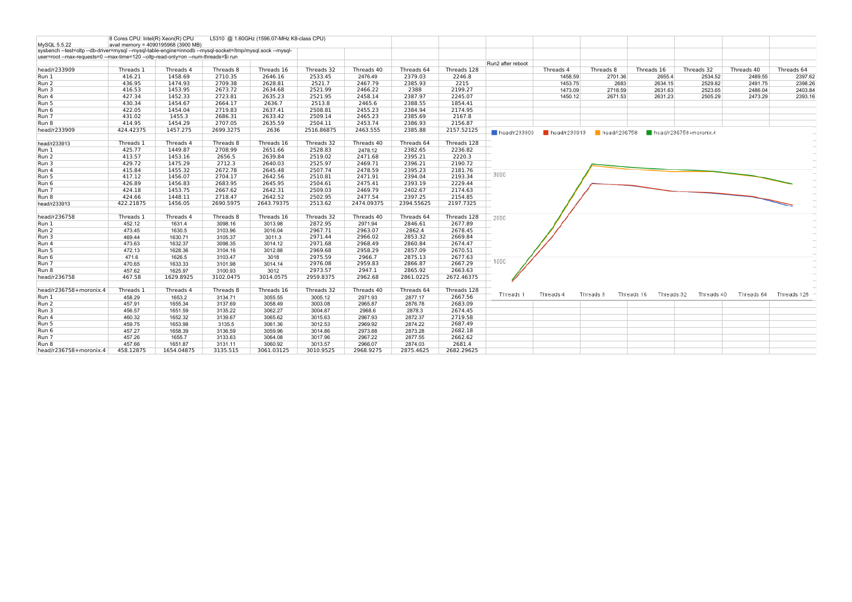| MySQL 5.5.22                                                                                               | 8 Cores CPU: Intel(R) Xeon(R) CPU | avail memory = 4090195968 (3900 MB) |           | L5310 @ 1.60GHz (1596.07-MHz K8-class CPU) |                       |            |            |                        |                             |                             |              |                          |                        |            |             |
|------------------------------------------------------------------------------------------------------------|-----------------------------------|-------------------------------------|-----------|--------------------------------------------|-----------------------|------------|------------|------------------------|-----------------------------|-----------------------------|--------------|--------------------------|------------------------|------------|-------------|
| sysbench --test=oltp --db-driver=mysql --mysql-table-engine=innodb --mysql-socket=/tmp/mysql.sock --mysql- |                                   |                                     |           |                                            |                       |            |            |                        |                             |                             |              |                          |                        |            |             |
| user=root --max-requests=0 --max-time=120 --oltp-read-only=on --num-threads=\$i run                        |                                   |                                     |           |                                            |                       |            |            |                        |                             |                             |              |                          |                        |            |             |
|                                                                                                            |                                   |                                     |           | Threads 16                                 |                       | Threads 40 |            | Threads 128            | Run2 after reboot           |                             |              |                          |                        |            |             |
| head/r233909                                                                                               | Threads 1                         | Threads 4                           | Threads 8 |                                            | Threads 32            |            | Threads 64 |                        |                             | Threads 4                   | Threads 8    | Threads 16               | Threads 32             | Threads 40 | Threads 64  |
| Run 1                                                                                                      | 416.21                            | 1458.69                             | 2710.35   | 2646.16                                    | 2533.45               | 2476.49    | 2379.03    | 2246.8                 |                             | 1458.59                     | 2701.36      | 2655.4                   | 2534.52                | 2489.55    | 2397.62     |
| Run 2                                                                                                      | 436.95                            | 1474.93                             | 2709.38   | 2628.81                                    | 2521.7                | 2467.79    | 2385.93    | 2215                   |                             | 1453.75                     | 2683         | 2634.15                  | 2529.82                | 2491.75    | 2398.26     |
| Run 3                                                                                                      | 416.53                            | 1453.95                             | 2673.72   | 2634.68                                    | 2521.99               | 2466.22    | 2388       | 2199.27                |                             | 1473.09                     | 2718.59      | 2631.63                  | 2523.65                | 2486.04    | 2403.84     |
| Run 4                                                                                                      | 427.34                            | 1452.33                             | 2723.81   | 2635.23                                    | 2521.95               | 2458.14    | 2387.97    | 2245.07                |                             | 1450.12                     | 2671.53      | 2631.23                  | 2505.29                | 2473.29    | 2393.16     |
| Run 5                                                                                                      | 430.34                            | 1454.67                             | 2664.17   | 2636.7                                     | 2513.8                | 2465.6     | 2388.55    | 1854.41                |                             |                             |              |                          |                        |            |             |
| Run 6                                                                                                      | 422.05                            | 1454.04                             | 2719.83   | 2637.41                                    | 2508.81               | 2455.23    | 2384.94    | 2174.95                |                             |                             |              |                          |                        |            |             |
| Run 7                                                                                                      | 431.02                            | 1455.3                              | 2686.31   | 2633.42                                    | 2509.14               | 2465.23    | 2385.69    | 2167.8                 |                             |                             |              |                          |                        |            |             |
| Run 8                                                                                                      | 414.95                            | 1454.29                             | 2707.05   | 2635.59                                    | 2504.11               | 2453.74    | 2386.93    | 2156.87                |                             |                             |              |                          |                        |            |             |
| head/r233909                                                                                               | 424.42375                         | 1457.275                            | 2699.3275 | 2636                                       | 2516.86875            | 2463.555   | 2385.88    | 2157.52125             | $\blacksquare$ head/r233909 | $\blacksquare$ head/r233913 | head/r236758 |                          | head/r236758+moronix.4 |            |             |
| head/r233913                                                                                               | Threads 1                         | Threads 4                           | Threads 8 | Threads 16                                 | Threads 32            | Threads 40 | Threads 64 | Threads 128            |                             |                             |              |                          |                        |            |             |
| Run 1                                                                                                      | 425.77                            | 1449.87                             | 2708.99   | 2651.66                                    | 2528.83               | 2478.12    | 2382.65    | 2236.82                |                             |                             |              |                          |                        |            |             |
| Run 2                                                                                                      | 413.57                            | 1453.16                             | 2656.5    | 2639.84                                    | 2519.02               | 2471.68    | 2395.21    | 2220.3                 |                             |                             |              |                          |                        |            |             |
| Run 3                                                                                                      | 429.72                            | 1475.29                             | 2712.3    | 2640.03                                    | 2525.97               | 2469.71    | 2396.21    | 2190.72                |                             |                             |              |                          |                        |            |             |
| Run 4                                                                                                      | 415.84                            | 1455.32                             | 2672.78   | 2645.48                                    | 2507.74               | 2478.59    | 2395.23    | 2181.76                |                             |                             |              |                          |                        |            |             |
| Run 5                                                                                                      | 417.12                            | 1456.07                             | 2704.17   | 2642.56                                    | 2510.81               | 2471.91    | 2394.04    | 2193.34                | 3000                        |                             |              |                          |                        |            |             |
|                                                                                                            | 426.89                            | 1456.83                             | 2683.95   | 2645.95                                    | 2504.61               | 2475.41    | 2393.19    | 2229.44                |                             |                             |              |                          |                        |            |             |
| Run 6                                                                                                      |                                   |                                     |           |                                            |                       |            |            |                        |                             |                             |              |                          |                        |            |             |
| Run 7                                                                                                      | 424.18                            | 1453.75                             | 2667.62   | 2642.31                                    | 2509.03               | 2469.79    | 2402.67    | 2174.63                |                             |                             |              |                          |                        |            |             |
| Run 8                                                                                                      | 424.66                            | 1448.11                             | 2718.47   | 2642.52                                    | 2502.95               | 2477.54    | 2397.25    | 2154.85                |                             |                             |              |                          |                        |            |             |
| head/r233913                                                                                               | 422.21875                         | 1456.05                             | 2690.5975 | 2643.79375                                 | 2513.62               | 2474.09375 | 2394.55625 | 2197.7325              |                             |                             |              |                          |                        |            |             |
| head/r236758                                                                                               | Threads 1                         | Threads 4                           | Threads 8 | Threads 16                                 | Threads 32            | Threads 40 | Threads 64 | Threads 128            | 2000                        |                             |              |                          |                        |            |             |
| Run 1                                                                                                      | 452.12                            | 1631.4                              | 3098.16   | 3013.98                                    | 2872.95               | 2971.94    | 2846.61    | 2677.89                |                             |                             |              |                          |                        |            |             |
| Run 2                                                                                                      | 473.45                            | 1630.5                              | 3103.96   | 3016.04                                    | 2967.71               | 2963.07    | 2862.4     | 2678.45                |                             |                             |              |                          |                        |            |             |
| Run 3                                                                                                      | 469.44                            | 1630.71                             | 3105.37   | 3011.3                                     | 2971.44               | 2966.02    | 2853.32    | 2669.84                |                             |                             |              |                          |                        |            |             |
| Run 4                                                                                                      | 473.63                            | 1632.37                             | 3098.35   | 3014.12                                    | 2971.68               | 2968.49    | 2860.84    | 2674.47                |                             |                             |              |                          |                        |            |             |
| Run 5                                                                                                      | 472.13                            | 1628.36                             | 3104.16   | 3012.88                                    | 2969.68               | 2958.29    | 2857.09    | 2670.51                |                             |                             |              |                          |                        |            |             |
| Run 6                                                                                                      | 471.6                             | 1626.5                              | 3103.47   | 3018                                       | 2975.59               | 2966.7     | 2875.13    | 2677.63                |                             |                             |              |                          |                        |            |             |
| Run 7                                                                                                      | 470.65                            | 1633.33                             | 3101.98   | 3014.14                                    | 2976.08               | 2959.83    | 2866.87    | 2667.29                | 1000                        |                             |              |                          |                        |            |             |
| Run 8                                                                                                      | 457.62                            | 1625.97                             | 3100.93   | 3012                                       | 2973.57               | 2947.1     | 2865.92    | 2663.63                |                             |                             |              |                          |                        |            |             |
| head/r236758                                                                                               | 467.58                            | 1629.8925                           | 3102.0475 | 3014.0575                                  | 2959.8375             | 2962.68    | 2861.0225  | 2672.46375             |                             |                             |              |                          |                        |            |             |
|                                                                                                            | Threads 1                         |                                     |           |                                            |                       |            |            |                        |                             |                             |              |                          |                        |            |             |
| head/r236758+moronix.4                                                                                     |                                   | Threads 4                           | Threads 8 | Threads 16                                 | Threads 32<br>3005.12 | Threads 40 | Threads 64 | Threads 128<br>2667.56 | Threads 1                   | Threads 4                   | Threads 8    | Threads 16<br>Threads 32 | Threads 40             | Threads 64 | Threads 128 |
| Run 1                                                                                                      | 458.29                            | 1653.2                              | 3134.71   | 3055.55                                    |                       | 2971.93    | 2877.17    |                        |                             |                             |              |                          |                        |            |             |
| Run 2                                                                                                      | 457.91                            | 1655.34                             | 3137.69   | 3058.49                                    | 3003.08               | 2965.87    | 2876.78    | 2683.09                |                             |                             |              |                          |                        |            |             |
| Run 3                                                                                                      | 456.57                            | 1651.59                             | 3135.22   | 3062.27                                    | 3004.87               | 2968.6     | 2878.3     | 2674.45                |                             |                             |              |                          |                        |            |             |
| Run 4                                                                                                      | 460.32                            | 1652.32                             | 3139.67   | 3065.62                                    | 3015.63               | 2967.93    | 2872.37    | 2719.58                |                             |                             |              |                          |                        |            |             |
| Run 5                                                                                                      | 459.75                            | 1653.98                             | 3135.5    | 3061.36                                    | 3012.53               | 2969.92    | 2874.22    | 2687.49                |                             |                             |              |                          |                        |            |             |
| Run 6                                                                                                      | 457.27                            | 1658.39                             | 3136.59   | 3059.96                                    | 3014.86               | 2973.88    | 2873.28    | 2682.18                |                             |                             |              |                          |                        |            |             |
| Run 7                                                                                                      | 457.26                            | 1655.7                              | 3133.63   | 3064.08                                    | 3017.96               | 2967.22    | 2877.55    | 2662.62                |                             |                             |              |                          |                        |            |             |
| Run 8                                                                                                      | 457.66                            | 1651.87                             | 3131.11   | 3060.92                                    | 3013.57               | 2966.07    | 2874.03    | 2681.4                 |                             |                             |              |                          |                        |            |             |
| head/r236758+moronix.4                                                                                     | 458.12875                         | 1654.04875                          | 3135.515  | 3061.03125                                 | 3010.9525             | 2968.9275  | 2875.4625  | 2682.29625             |                             |                             |              |                          |                        |            |             |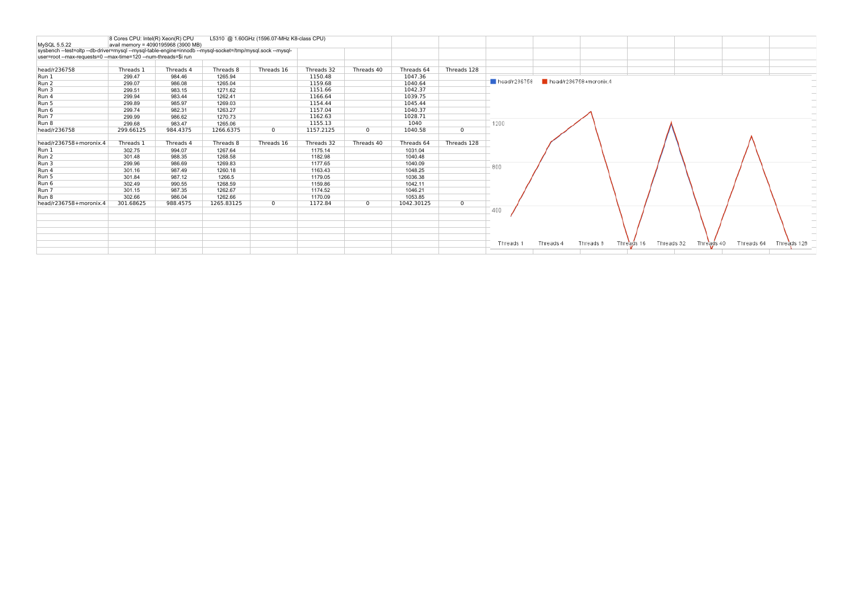| MySQL 5.5.22                                                                                                                                                                  | 8 Cores CPU: Intel(R) Xeon(R) CPU | avail memory = 4090195968 (3900 MB) |            | L5310 @ 1.60GHz (1596.07-MHz K8-class CPU) |            |              |            |              |                             |           |                        |            |            |            |            |             |
|-------------------------------------------------------------------------------------------------------------------------------------------------------------------------------|-----------------------------------|-------------------------------------|------------|--------------------------------------------|------------|--------------|------------|--------------|-----------------------------|-----------|------------------------|------------|------------|------------|------------|-------------|
| sysbench --test=oltp --db-driver=mysql --mysql-table-engine=innodb --mysql-socket=/tmp/mysql.sock --mysql-<br>user=root --max-requests=0 --max-time=120 --num-threads=\$i run |                                   |                                     |            |                                            |            |              |            |              |                             |           |                        |            |            |            |            |             |
| head/r236758                                                                                                                                                                  | Threads 1                         | Threads 4                           | Threads 8  | Threads 16                                 | Threads 32 | Threads 40   | Threads 64 | Threads 128  |                             |           |                        |            |            |            |            |             |
| Run 1                                                                                                                                                                         | 299.47                            | 984.46                              | 1265.94    |                                            | 1150.48    |              | 1047.36    |              |                             |           |                        |            |            |            |            |             |
| Run 2                                                                                                                                                                         | 299.07                            | 986.08                              | 1265.04    |                                            | 1159.68    |              | 1040.64    |              | $\blacksquare$ head/r236758 |           | head/r236758+moronix.4 |            |            |            |            |             |
| Run 3                                                                                                                                                                         | 299.51                            | 983.15                              | 1271.62    |                                            | 1151.66    |              | 1042.37    |              |                             |           |                        |            |            |            |            |             |
| Run 4                                                                                                                                                                         | 299.94                            | 983.44                              | 1262.41    |                                            | 1166.64    |              | 1039.75    |              |                             |           |                        |            |            |            |            |             |
| Run 5                                                                                                                                                                         | 299.89                            | 985.97                              | 1269.03    |                                            | 1154.44    |              | 1045.44    |              |                             |           |                        |            |            |            |            |             |
| Run 6                                                                                                                                                                         | 299.74                            | 982.31                              | 1263.27    |                                            | 1157.04    |              | 1040.37    |              |                             |           |                        |            |            |            |            |             |
| Run 7                                                                                                                                                                         | 299.99                            | 986.62                              | 1270.73    |                                            | 1162.63    |              | 1028.71    |              |                             |           |                        |            |            |            |            |             |
| Run 8                                                                                                                                                                         | 299.68                            | 983.47                              | 1265.06    |                                            | 1155.13    |              | 1040       |              | 1200                        |           |                        |            |            |            |            |             |
| head/r236758                                                                                                                                                                  | 299.66125                         | 984.4375                            | 1266.6375  | $\mathbf{0}$                               | 1157.2125  | $\mathbf{0}$ | 1040.58    | $\mathbf{0}$ |                             |           |                        |            |            |            |            |             |
| head/r236758+moronix.4                                                                                                                                                        | Threads 1                         | Threads 4                           | Threads 8  | Threads 16                                 | Threads 32 | Threads 40   | Threads 64 | Threads 128  |                             |           |                        |            |            |            |            |             |
| Run 1                                                                                                                                                                         | 302.75                            | 994.07                              | 1267.64    |                                            | 1175.14    |              | 1031.04    |              |                             |           |                        |            |            |            |            |             |
| Run 2                                                                                                                                                                         | 301.48                            | 988.35                              | 1268.58    |                                            | 1182.98    |              | 1040.48    |              |                             |           |                        |            |            |            |            |             |
| Run 3                                                                                                                                                                         | 299.96                            | 986.69                              | 1269.83    |                                            | 1177.65    |              | 1040.09    |              | 800                         |           |                        |            |            |            |            |             |
| Run 4                                                                                                                                                                         | 301.16                            | 987.49                              | 1260.18    |                                            | 1163.43    |              | 1048.25    |              |                             |           |                        |            |            |            |            |             |
| Run 5                                                                                                                                                                         | 301.84                            | 987.12                              | 1266.5     |                                            | 1179.05    |              | 1036.38    |              |                             |           |                        |            |            |            |            |             |
| Run 6                                                                                                                                                                         | 302.49                            | 990.55                              | 1268.59    |                                            | 1159.86    |              | 1042.11    |              |                             |           |                        |            |            |            |            |             |
| Run 7                                                                                                                                                                         | 301.15                            | 987.35                              | 1262.67    |                                            | 1174.52    |              | 1046.21    |              |                             |           |                        |            |            |            |            |             |
| Run 8                                                                                                                                                                         | 302.66                            | 986.04                              | 1262.66    |                                            | 1170.09    |              | 1053.85    |              |                             |           |                        |            |            |            |            |             |
| head/r236758+moronix.4                                                                                                                                                        | 301.68625                         | 988.4575                            | 1265.83125 | $\mathbf{0}$                               | 1172.84    | $\mathbf{0}$ | 1042.30125 | $\mathbf{0}$ | 400                         |           |                        |            |            |            |            |             |
|                                                                                                                                                                               |                                   |                                     |            |                                            |            |              |            |              |                             |           |                        |            |            |            |            |             |
|                                                                                                                                                                               |                                   |                                     |            |                                            |            |              |            |              |                             |           |                        |            |            |            |            |             |
|                                                                                                                                                                               |                                   |                                     |            |                                            |            |              |            |              |                             |           |                        |            |            |            |            |             |
|                                                                                                                                                                               |                                   |                                     |            |                                            |            |              |            |              | Threads 1                   | Threads 4 | Threads 8              | Threads 16 | Threads 32 | Threads 40 | Threads 64 | Threads 128 |
|                                                                                                                                                                               |                                   |                                     |            |                                            |            |              |            |              |                             |           |                        |            |            |            |            |             |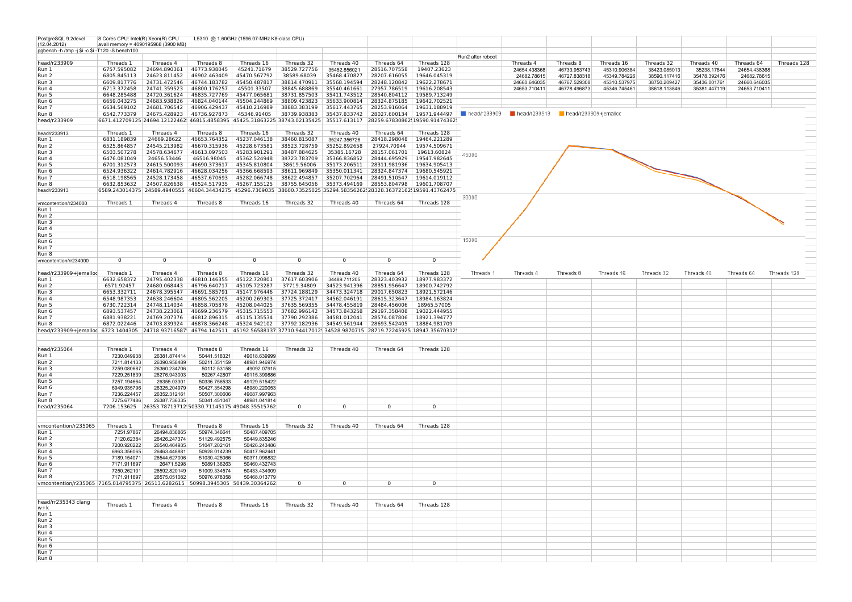| PostgreSQL 9.2devel                                                                                                                      | 8 Cores CPU: Intel(R) Xeon(R) CPU |                                     |                                                                                                                      | L5310 @ 1.60GHz (1596.07-MHz K8-class CPU) |              |              |                                                                                          |                |                   |                                                         |              |              |              |              |              |             |
|------------------------------------------------------------------------------------------------------------------------------------------|-----------------------------------|-------------------------------------|----------------------------------------------------------------------------------------------------------------------|--------------------------------------------|--------------|--------------|------------------------------------------------------------------------------------------|----------------|-------------------|---------------------------------------------------------|--------------|--------------|--------------|--------------|--------------|-------------|
| (12.04.2012)                                                                                                                             |                                   | avail memory = 4090195968 (3900 MB) |                                                                                                                      |                                            |              |              |                                                                                          |                |                   |                                                         |              |              |              |              |              |             |
| pgbench -h /tmp -j \$i -c \$i -T120 -S bench100                                                                                          |                                   |                                     |                                                                                                                      |                                            |              |              |                                                                                          |                |                   |                                                         |              |              |              |              |              |             |
|                                                                                                                                          |                                   |                                     |                                                                                                                      |                                            |              |              |                                                                                          |                | Run2 after reboot |                                                         |              |              |              |              |              |             |
| head/r233909                                                                                                                             | Threads 1                         | Threads 4                           | Threads 8                                                                                                            | Threads 16                                 | Threads 32   | Threads 40   | Threads 64                                                                               | Threads 128    |                   | Threads 4                                               | Threads 8    | Threads 16   | Threads 32   | Threads 40   | Threads 64   | Threads 128 |
| Run 1                                                                                                                                    | 6757.595082                       | 24694.890361                        | 46773.938045                                                                                                         | 45241.71679                                | 38529.727756 | 35462.856021 | 28516.707558                                                                             | 19407.23623    |                   | 24654.438368                                            | 46733.953743 | 45310.906384 | 38423.085013 | 35238.17844  | 24654 438368 |             |
| Run 2                                                                                                                                    | 6805.845113                       | 24623.811452                        | 46902.463409                                                                                                         | 45470.567792                               | 38589.68039  | 35468.470827 | 28207.616055                                                                             | 19646.045319   |                   | 24682.78615                                             | 46727.838318 | 45349.784226 | 38590.117416 | 35478.392476 | 24682.78615  |             |
|                                                                                                                                          |                                   |                                     |                                                                                                                      |                                            |              |              |                                                                                          |                |                   |                                                         |              |              |              |              |              |             |
| Run 3                                                                                                                                    | 6609.817776                       | 24731.472546                        | 46744.183782                                                                                                         | 45450.487817                               | 38814.470911 | 35568.194594 | 28248.120842                                                                             | 19622.278671   |                   | 24660.646035                                            | 46767.529308 | 45310.537975 | 38750.209427 | 35436.001761 | 24660.646035 |             |
| Run 4                                                                                                                                    | 6713.372458                       | 24741.359523                        | 46800.176257                                                                                                         | 45501.33507                                | 38845.688869 | 35540.461661 | 27957.786519                                                                             | 19616.208543   |                   | 24653.710411                                            | 46778.496873 | 45346.745461 | 38618.113846 | 35381.447119 | 24653.710411 |             |
| Run 5                                                                                                                                    | 6648.285488                       | 24720.361624                        | 46835.727769                                                                                                         | 45477.065681                               | 38731.857503 | 35411.743512 | 28540.804112                                                                             | 19589.713249   |                   |                                                         |              |              |              |              |              |             |
| Run 6                                                                                                                                    | 6659.043275                       | 24683.938826                        |                                                                                                                      | 46824.040144 45504.244869                  | 38809.423823 |              | 35633.900814 28324.875185                                                                | 19642.702521   |                   |                                                         |              |              |              |              |              |             |
|                                                                                                                                          |                                   |                                     |                                                                                                                      |                                            | 38883.383199 |              |                                                                                          | 19631.188919   |                   |                                                         |              |              |              |              |              |             |
| Run 7                                                                                                                                    | 6634.569102                       | 24681.706542                        | 46906.429437 45410.216989                                                                                            |                                            |              |              | 35617.443765 28253.916064                                                                |                |                   |                                                         |              |              |              |              |              |             |
| Run 8                                                                                                                                    | 6542.773379                       | 24675.428923                        | 46736.927873                                                                                                         | 45346.91405                                | 38739.938383 | 35437.833742 | 28027.600134 19571.944497                                                                |                |                   | head/r233909     Read/r233913     Read/r233909+jemalloc |              |              |              |              |              |             |
| head/r233909                                                                                                                             |                                   |                                     | 6671.412709125 24694.12122462 46815.4858395 45425.31863225 38743.02135425 35517.613117 28259.67830862 19590.91474362 |                                            |              |              |                                                                                          |                |                   |                                                         |              |              |              |              |              |             |
|                                                                                                                                          |                                   |                                     |                                                                                                                      |                                            |              |              |                                                                                          |                |                   |                                                         |              |              |              |              |              |             |
| head/r233913                                                                                                                             | Threads 1                         | Threads 4                           | Threads 8                                                                                                            | Threads 16                                 | Threads 32   | Threads 40   | Threads 64                                                                               | Threads 128    |                   |                                                         |              |              |              |              |              |             |
|                                                                                                                                          |                                   |                                     |                                                                                                                      |                                            |              |              |                                                                                          |                |                   |                                                         |              |              |              |              |              |             |
| Run 1                                                                                                                                    | 6831.189839                       | 24669.28622                         | 46653.764352                                                                                                         | 45237.046138                               | 38460.815087 | 35247.356726 | 28418.298048                                                                             | 19464.221289   |                   |                                                         |              |              |              |              |              |             |
| Run 2                                                                                                                                    | 6525.864857                       | 24545.213982                        | 46670.315936                                                                                                         | 45228.673581                               | 38523.728759 | 35252.892658 | 27924.70944                                                                              | 19574.509671   |                   |                                                         |              |              |              |              |              |             |
| Run 3                                                                                                                                    | 6503.507278                       | 24578.634677                        | 46613.097503                                                                                                         | 45283.901291                               | 38487.884625 | 35385.16728  | 28157.061701                                                                             | 19613.60824    | 45000             |                                                         |              |              |              |              |              |             |
| Run 4                                                                                                                                    | 6476.081049                       | 24656.53446                         | 46516.98045                                                                                                          | 45362.524948                               | 38723.783709 | 35366.836852 | 28444.695929                                                                             | 19547.982645   |                   |                                                         |              |              |              |              |              |             |
| Run 5                                                                                                                                    | 6701.312573                       | 24615.500093                        | 46690.373617                                                                                                         | 45345.810804                               | 38619.56006  | 35173.206511 | 28311.981936                                                                             | 19634.905413   |                   |                                                         |              |              |              |              |              |             |
|                                                                                                                                          |                                   |                                     |                                                                                                                      |                                            |              |              |                                                                                          |                |                   |                                                         |              |              |              |              |              |             |
| Run 6                                                                                                                                    | 6524.936322                       | 24614.782916                        | 46628.034256                                                                                                         | 45366.668593                               | 38611.969849 | 35350.011341 | 28324.847374                                                                             | 19680.545921   |                   |                                                         |              |              |              |              |              |             |
| Run 7                                                                                                                                    | 6518.198565                       | 24528.173458                        | 46537.670693                                                                                                         | 45282.066748                               | 38622.494857 | 35207.702964 | 28491.510547                                                                             | 19614.019112   |                   |                                                         |              |              |              |              |              |             |
| Run 8                                                                                                                                    | 6632.853632                       | 24507.826638                        |                                                                                                                      | 46524.517935 45267.155125                  | 38755.645056 |              | 35373.494169 28553.804798                                                                | 19601.708707   |                   |                                                         |              |              |              |              |              |             |
| head/r233913                                                                                                                             |                                   | 6589.243014375 24589.4940555        |                                                                                                                      |                                            |              |              | 46604.34434275 45296.7309035 38600.73525025 35294.58356262 28328.36372162 19591.43762475 |                |                   |                                                         |              |              |              |              |              |             |
|                                                                                                                                          |                                   |                                     |                                                                                                                      |                                            |              |              |                                                                                          |                | 30000             |                                                         |              |              |              |              |              |             |
|                                                                                                                                          | Threads 1                         | Threads 4                           | Threads 8                                                                                                            | Threads 16                                 | Threads 32   | Threads 40   | Threads 64                                                                               | Threads 128    |                   |                                                         |              |              |              |              |              |             |
| vmcontention/r234000                                                                                                                     |                                   |                                     |                                                                                                                      |                                            |              |              |                                                                                          |                |                   |                                                         |              |              |              |              |              |             |
| Run 1                                                                                                                                    |                                   |                                     |                                                                                                                      |                                            |              |              |                                                                                          |                |                   |                                                         |              |              |              |              |              |             |
| Run 2                                                                                                                                    |                                   |                                     |                                                                                                                      |                                            |              |              |                                                                                          |                |                   |                                                         |              |              |              |              |              |             |
| Run 3                                                                                                                                    |                                   |                                     |                                                                                                                      |                                            |              |              |                                                                                          |                |                   |                                                         |              |              |              |              |              |             |
|                                                                                                                                          |                                   |                                     |                                                                                                                      |                                            |              |              |                                                                                          |                |                   |                                                         |              |              |              |              |              |             |
| Run 4                                                                                                                                    |                                   |                                     |                                                                                                                      |                                            |              |              |                                                                                          |                |                   |                                                         |              |              |              |              |              |             |
| Run 5                                                                                                                                    |                                   |                                     |                                                                                                                      |                                            |              |              |                                                                                          |                |                   |                                                         |              |              |              |              |              |             |
| Run 6                                                                                                                                    |                                   |                                     |                                                                                                                      |                                            |              |              |                                                                                          |                | 15000             |                                                         |              |              |              |              |              |             |
| Run 7                                                                                                                                    |                                   |                                     |                                                                                                                      |                                            |              |              |                                                                                          |                |                   |                                                         |              |              |              |              |              |             |
| Run 8                                                                                                                                    |                                   |                                     |                                                                                                                      |                                            |              |              |                                                                                          |                |                   |                                                         |              |              |              |              |              |             |
|                                                                                                                                          | 0                                 | $\mathbf 0$                         | $\Omega$                                                                                                             | $\mathbf 0$                                | $\mathbf 0$  | 0            | $\Omega$                                                                                 | $\overline{0}$ |                   |                                                         |              |              |              |              |              |             |
| vmcontention/rr234000                                                                                                                    |                                   |                                     |                                                                                                                      |                                            |              |              |                                                                                          |                |                   |                                                         |              |              |              |              |              |             |
|                                                                                                                                          |                                   |                                     |                                                                                                                      |                                            |              |              |                                                                                          |                |                   |                                                         |              |              |              |              |              |             |
| head/r233909+jemalloc                                                                                                                    | Threads 1                         | Threads 4                           | Threads 8                                                                                                            | Threads 16                                 | Threads 32   | Threads 40   | Threads 64                                                                               | Threads 128    | Threads 1         | Threads 4                                               | Threads 8    | Threads 16   | Threads 32   | Threads 40   | Threads 64   | Threads 128 |
| Run 1                                                                                                                                    | 6632.658372                       | 24795.402338                        | 46810.146355                                                                                                         | 45122.720801                               | 37617.603906 | 34489.711205 | 28323.403932                                                                             | 18977.983372   |                   |                                                         |              |              |              |              |              |             |
| Run 2                                                                                                                                    | 6571.92457                        | 24680.068443                        | 46796.640717                                                                                                         | 45105.723287                               | 37719.34809  | 34523.941396 | 28851.956647                                                                             | 18900.742792   |                   |                                                         |              |              |              |              |              |             |
|                                                                                                                                          |                                   |                                     |                                                                                                                      |                                            |              |              |                                                                                          |                |                   |                                                         |              |              |              |              |              |             |
| Run 3                                                                                                                                    | 6653.332711                       | 24678.395547                        | 46691.585791                                                                                                         | 45147.976446                               | 37724.188129 | 34473.324718 | 29017.650823                                                                             | 18921.572146   |                   |                                                         |              |              |              |              |              |             |
| Run 4                                                                                                                                    | 6548.987353                       | 24638.246604                        | 46805.562205                                                                                                         | 45200.269303                               | 37725.372417 | 34562.046191 | 28615.323647                                                                             | 18984.163824   |                   |                                                         |              |              |              |              |              |             |
| Run 5                                                                                                                                    | 6730.722314                       | 24748.114034                        | 46858.705878                                                                                                         | 45208.044025                               | 37635.569355 | 34478.455819 | 28484.456006                                                                             | 18965.57005    |                   |                                                         |              |              |              |              |              |             |
| Run 6                                                                                                                                    | 6893.537457                       | 24738.223061                        | 46699.236579                                                                                                         | 45315.715553                               | 37682.996142 | 34573.843258 | 29197.358408                                                                             | 19022.444955   |                   |                                                         |              |              |              |              |              |             |
| Run 7                                                                                                                                    | 6881.938221                       | 24769.207376                        |                                                                                                                      | 46812.896315 45115.135534                  | 37790.292386 | 34581.012041 | 28574.087806                                                                             | 18921.394777   |                   |                                                         |              |              |              |              |              |             |
|                                                                                                                                          |                                   |                                     |                                                                                                                      |                                            |              |              |                                                                                          |                |                   |                                                         |              |              |              |              |              |             |
| Run 8                                                                                                                                    | 6872.022446                       | 24703.839924                        | 46878.366248 45324.942102                                                                                            |                                            | 37792.182936 | 34549.561944 | 28693.542405                                                                             | 18884.981709   |                   |                                                         |              |              |              |              |              |             |
| head/r233909+jemalloc 6723.1404305 24718.93716587 46794.142511 45192.56588137 37710.94417012 34528.9870715 28719.72245925 18947.35670312 |                                   |                                     |                                                                                                                      |                                            |              |              |                                                                                          |                |                   |                                                         |              |              |              |              |              |             |
|                                                                                                                                          |                                   |                                     |                                                                                                                      |                                            |              |              |                                                                                          |                |                   |                                                         |              |              |              |              |              |             |
|                                                                                                                                          |                                   |                                     |                                                                                                                      |                                            |              |              |                                                                                          |                |                   |                                                         |              |              |              |              |              |             |
| head/r235064                                                                                                                             | Threads 1                         | Threads 4                           | Threads 8                                                                                                            | Threads 16                                 | Threads 32   | Threads 40   | Threads 64                                                                               | Threads 128    |                   |                                                         |              |              |              |              |              |             |
| Run 1                                                                                                                                    | 7230.049938                       | 26381.874414                        | 50441.518321                                                                                                         | 49018.639999                               |              |              |                                                                                          |                |                   |                                                         |              |              |              |              |              |             |
|                                                                                                                                          |                                   |                                     |                                                                                                                      |                                            |              |              |                                                                                          |                |                   |                                                         |              |              |              |              |              |             |
| Run 2                                                                                                                                    | 7211.814133                       | 26390.958489                        | 50211.351159                                                                                                         | 48981.946974                               |              |              |                                                                                          |                |                   |                                                         |              |              |              |              |              |             |
| Run 3                                                                                                                                    | 7259.080687                       | 26360.234706                        | 50112.53158                                                                                                          | 49092.07915                                |              |              |                                                                                          |                |                   |                                                         |              |              |              |              |              |             |
| Run 4                                                                                                                                    | 7229.251839                       | 26276.943003                        | 50267.42807                                                                                                          | 49115.399886                               |              |              |                                                                                          |                |                   |                                                         |              |              |              |              |              |             |
| Run 5                                                                                                                                    | 7257.194664                       | 26355.03301                         | 50336.756533                                                                                                         | 49129.515422                               |              |              |                                                                                          |                |                   |                                                         |              |              |              |              |              |             |
| Run 6                                                                                                                                    | 6949.935796                       | 26325.204979                        | 50427.354298                                                                                                         | 48980.220053                               |              |              |                                                                                          |                |                   |                                                         |              |              |              |              |              |             |
|                                                                                                                                          |                                   |                                     |                                                                                                                      |                                            |              |              |                                                                                          |                |                   |                                                         |              |              |              |              |              |             |
| Run 7                                                                                                                                    | 7236.224457                       | 26352.312161                        | 50507.300606                                                                                                         | 49087.997963                               |              |              |                                                                                          |                |                   |                                                         |              |              |              |              |              |             |
| Run 8                                                                                                                                    | 7275.677486                       | 26387.736335                        | 50341.451047                                                                                                         | 48981 041814                               |              |              |                                                                                          |                |                   |                                                         |              |              |              |              |              |             |
| head/r235064                                                                                                                             |                                   |                                     | 7206.153625 26353.78713712(50330.71145175 49048.35515762                                                             |                                            | $\mathbf 0$  | 0            | $\Omega$                                                                                 | $\overline{0}$ |                   |                                                         |              |              |              |              |              |             |
|                                                                                                                                          |                                   |                                     |                                                                                                                      |                                            |              |              |                                                                                          |                |                   |                                                         |              |              |              |              |              |             |
|                                                                                                                                          |                                   |                                     |                                                                                                                      |                                            |              |              |                                                                                          |                |                   |                                                         |              |              |              |              |              |             |
|                                                                                                                                          | Threads 1                         | Threads 4                           | Threads 8                                                                                                            | Threads 16                                 | Threads 32   | Threads 40   | Threads 64                                                                               | Threads 128    |                   |                                                         |              |              |              |              |              |             |
| vmcontention/r235065                                                                                                                     |                                   |                                     |                                                                                                                      |                                            |              |              |                                                                                          |                |                   |                                                         |              |              |              |              |              |             |
| Run 1                                                                                                                                    | 7251.97867                        | 26494.836865                        | 50974.346641                                                                                                         | 50487.409705                               |              |              |                                                                                          |                |                   |                                                         |              |              |              |              |              |             |
| Run 2                                                                                                                                    | 7120.62384                        | 26426.247374                        | 51129.492575                                                                                                         | 50449.835246                               |              |              |                                                                                          |                |                   |                                                         |              |              |              |              |              |             |
| Run 3                                                                                                                                    | 7200.920222                       | 26540.464935                        | 51047.202161                                                                                                         | 50426.243486                               |              |              |                                                                                          |                |                   |                                                         |              |              |              |              |              |             |
| Run 4                                                                                                                                    | 6963.356065                       | 26463.448881                        | 50928.014239                                                                                                         | 50417.962441                               |              |              |                                                                                          |                |                   |                                                         |              |              |              |              |              |             |
|                                                                                                                                          |                                   |                                     |                                                                                                                      |                                            |              |              |                                                                                          |                |                   |                                                         |              |              |              |              |              |             |
| Run 5                                                                                                                                    | 7189.154071                       | 26544.627006                        | 51030.425066                                                                                                         | 50371.096832                               |              |              |                                                                                          |                |                   |                                                         |              |              |              |              |              |             |
| Run 6                                                                                                                                    | 7171.911697                       | 26471.5298                          | 50891.36263                                                                                                          | 50460.432743                               |              |              |                                                                                          |                |                   |                                                         |              |              |              |              |              |             |
| Run 7                                                                                                                                    | 7250.262101                       | 26592.820149                        | 51009.334574                                                                                                         | 50433.434909                               |              |              |                                                                                          |                |                   |                                                         |              |              |              |              |              |             |
| Run 8                                                                                                                                    | 7171.911697                       | 26575.051082                        | 50976.978358                                                                                                         | 50468.013779                               |              |              |                                                                                          |                |                   |                                                         |              |              |              |              |              |             |
| vmcontention/r235065 7165.014795375 26513.6282615 50998.3945305 50439.30364262                                                           |                                   |                                     |                                                                                                                      |                                            | $\Omega$     | $^{\circ}$   | $\Omega$                                                                                 | $^{\circ}$     |                   |                                                         |              |              |              |              |              |             |
|                                                                                                                                          |                                   |                                     |                                                                                                                      |                                            |              |              |                                                                                          |                |                   |                                                         |              |              |              |              |              |             |
|                                                                                                                                          |                                   |                                     |                                                                                                                      |                                            |              |              |                                                                                          |                |                   |                                                         |              |              |              |              |              |             |
|                                                                                                                                          |                                   |                                     |                                                                                                                      |                                            |              |              |                                                                                          |                |                   |                                                         |              |              |              |              |              |             |
| head/rr235343 clang                                                                                                                      | Threads 1                         | Threads 4                           | Threads 8                                                                                                            | Threads 16                                 |              |              | Threads 64                                                                               | Threads 128    |                   |                                                         |              |              |              |              |              |             |
| $w+k$                                                                                                                                    |                                   |                                     |                                                                                                                      |                                            | Threads 32   | Threads 40   |                                                                                          |                |                   |                                                         |              |              |              |              |              |             |
| Run 1                                                                                                                                    |                                   |                                     |                                                                                                                      |                                            |              |              |                                                                                          |                |                   |                                                         |              |              |              |              |              |             |
| Run 2                                                                                                                                    |                                   |                                     |                                                                                                                      |                                            |              |              |                                                                                          |                |                   |                                                         |              |              |              |              |              |             |
|                                                                                                                                          |                                   |                                     |                                                                                                                      |                                            |              |              |                                                                                          |                |                   |                                                         |              |              |              |              |              |             |
| Run 3                                                                                                                                    |                                   |                                     |                                                                                                                      |                                            |              |              |                                                                                          |                |                   |                                                         |              |              |              |              |              |             |
| Run 4                                                                                                                                    |                                   |                                     |                                                                                                                      |                                            |              |              |                                                                                          |                |                   |                                                         |              |              |              |              |              |             |
| Run 5                                                                                                                                    |                                   |                                     |                                                                                                                      |                                            |              |              |                                                                                          |                |                   |                                                         |              |              |              |              |              |             |
| Run 6                                                                                                                                    |                                   |                                     |                                                                                                                      |                                            |              |              |                                                                                          |                |                   |                                                         |              |              |              |              |              |             |
| Run 7                                                                                                                                    |                                   |                                     |                                                                                                                      |                                            |              |              |                                                                                          |                |                   |                                                         |              |              |              |              |              |             |
|                                                                                                                                          |                                   |                                     |                                                                                                                      |                                            |              |              |                                                                                          |                |                   |                                                         |              |              |              |              |              |             |
| Run 8                                                                                                                                    |                                   |                                     |                                                                                                                      |                                            |              |              |                                                                                          |                |                   |                                                         |              |              |              |              |              |             |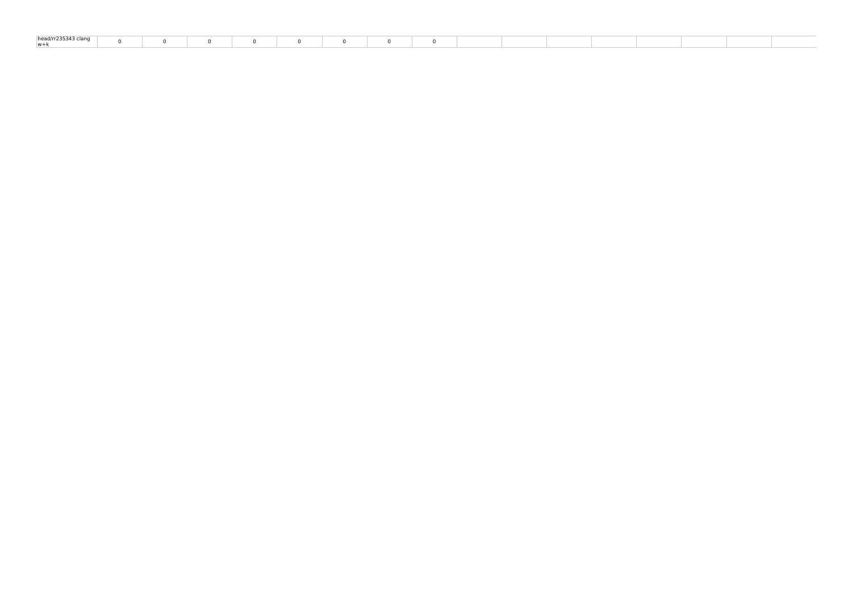| ad/rr235343 clan.<br>$h^{n}$ |  |  |  |  |  |  |  |  |
|------------------------------|--|--|--|--|--|--|--|--|
| w+k                          |  |  |  |  |  |  |  |  |